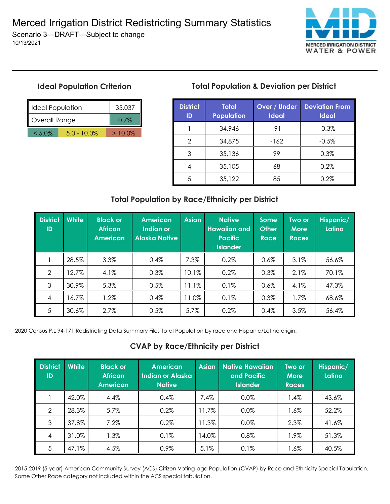

## **Ideal Population Criterion**

10/13/2021

| <b>Ideal Population</b> | 35.037         |           |
|-------------------------|----------------|-----------|
| Overall Range           | $0.7\%$        |           |
| $< 5.0\%$               | $5.0 - 10.0\%$ | $>10.0\%$ |

# **Total Population & Deviation per District**

| <b>District</b><br>ID | <b>Total</b><br><b>Population</b> | <b>Over / Under</b><br><b>Ideal</b> | <b>Deviation From</b><br><b>Ideal</b> |  |
|-----------------------|-----------------------------------|-------------------------------------|---------------------------------------|--|
|                       | 34,946                            | $-91$                               | $-0.3%$                               |  |
| 2                     | 34,875                            | $-162$                              | $-0.5%$                               |  |
| 3                     | 35,136                            | 99                                  | 0.3%                                  |  |
|                       | 35,105                            | 68                                  | 0.2%                                  |  |
|                       | 35,122                            | 85                                  | 0.2%                                  |  |

## **Total Population by Race/Ethnicity per District**

| <b>District</b><br>ID | <b>White</b> | <b>Black or</b><br><b>African</b><br><b>American</b> | <b>American</b><br>Indian or<br><b>Alaska Native</b> | <b>Asian</b> | <b>Native</b><br><b>Hawaiian and</b><br><b>Pacific</b><br><b>Islander</b> | <b>Some</b><br><b>Other</b><br><b>Race</b> | Two or<br><b>More</b><br><b>Races</b> | Hispanic/<br>Latino |
|-----------------------|--------------|------------------------------------------------------|------------------------------------------------------|--------------|---------------------------------------------------------------------------|--------------------------------------------|---------------------------------------|---------------------|
|                       | 28.5%        | 3.3%                                                 | 0.4%                                                 | 7.3%         | 0.2%                                                                      | $0.6\%$                                    | 3.1%                                  | 56.6%               |
| $\overline{2}$        | 12.7%        | 4.1%                                                 | 0.3%                                                 | 10.1%        | 0.2%                                                                      | 0.3%                                       | 2.1%                                  | 70.1%               |
| 3                     | 30.9%        | 5.3%                                                 | 0.5%                                                 | 11.1%        | 0.1%                                                                      | 0.6%                                       | 4.1%                                  | 47.3%               |
| $\overline{4}$        | 16.7%        | 1.2%                                                 | 0.4%                                                 | 11.0%        | 0.1%                                                                      | 0.3%                                       | 1.7%                                  | 68.6%               |
| 5                     | 30.6%        | 2.7%                                                 | 0.5%                                                 | 5.7%         | 0.2%                                                                      | 0.4%                                       | 3.5%                                  | 56.4%               |

2020 Census P.L 94-171 Redistricting Data Summary Files Total Population by race and Hispanic/Latino origin.

### **CVAP by Race/Ethnicity per District**

| <b>District</b><br>ID | White | <b>Black or</b><br><b>African</b><br><b>American</b> | <b>American</b><br><b>Indian or Alaska</b><br><b>Native</b> | <b>Asian</b> | <b>Native Hawaiian</b><br>and Pacific<br><b>Islander</b> | Two or<br><b>More</b><br><b>Races</b> | Hispanic/<br>Latino |
|-----------------------|-------|------------------------------------------------------|-------------------------------------------------------------|--------------|----------------------------------------------------------|---------------------------------------|---------------------|
|                       | 42.0% | 4.4%                                                 | 0.4%                                                        | 7.4%         | 0.0%                                                     | 1.4%                                  | 43.6%               |
| 2                     | 28.3% | 5.7%                                                 | 0.2%                                                        | 1.7%         | 0.0%                                                     | $1.6\%$                               | 52.2%               |
| 3                     | 37.8% | 7.2%                                                 | 0.2%                                                        | 1.3%         | 0.0%                                                     | 2.3%                                  | 41.6%               |
| $\overline{4}$        | 31.0% | 1.3%                                                 | 0.1%                                                        | 14.0%        | 0.8%                                                     | 1.9%                                  | 51.3%               |
| 5                     | 47.1% | 4.5%                                                 | 0.9%                                                        | 5.1%         | 0.1%                                                     | $1.6\%$                               | 40.5%               |

2015-2019 (5-year) American Community Survey (ACS) Citizen Voting-age Population (CVAP) by Race and Ethnicity Special Tabulation. Some Other Race category not included within the ACS special tabulation.